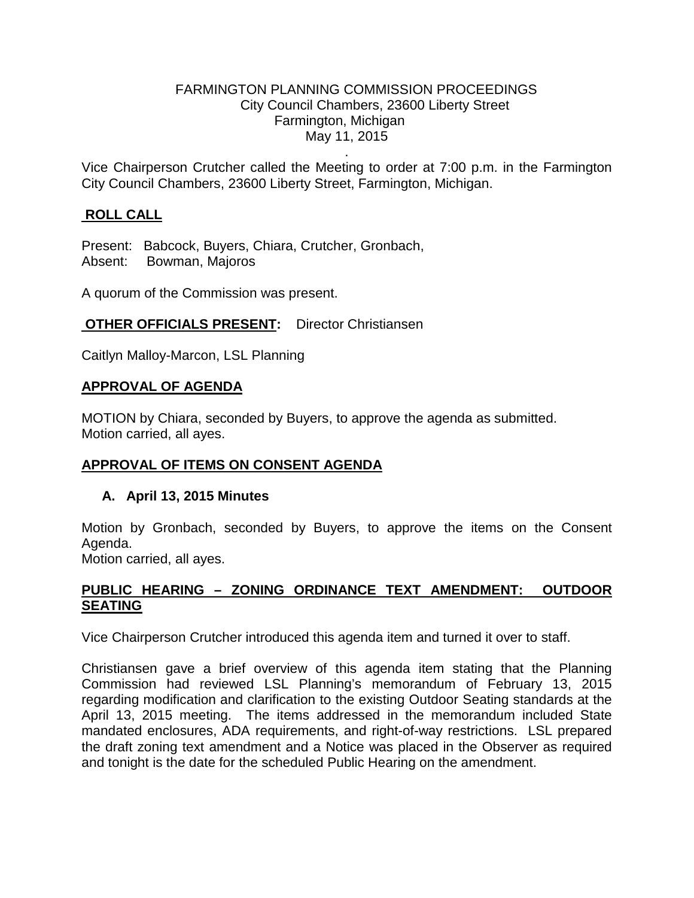#### FARMINGTON PLANNING COMMISSION PROCEEDINGS City Council Chambers, 23600 Liberty Street Farmington, Michigan May 11, 2015

. Vice Chairperson Crutcher called the Meeting to order at 7:00 p.m. in the Farmington City Council Chambers, 23600 Liberty Street, Farmington, Michigan.

# **ROLL CALL**

Present: Babcock, Buyers, Chiara, Crutcher, Gronbach, Absent: Bowman, Majoros

A quorum of the Commission was present.

## **OTHER OFFICIALS PRESENT:** Director Christiansen

Caitlyn Malloy-Marcon, LSL Planning

### **APPROVAL OF AGENDA**

MOTION by Chiara, seconded by Buyers, to approve the agenda as submitted. Motion carried, all ayes.

### **APPROVAL OF ITEMS ON CONSENT AGENDA**

### **A. April 13, 2015 Minutes**

Motion by Gronbach, seconded by Buyers, to approve the items on the Consent Agenda.

Motion carried, all ayes.

### **PUBLIC HEARING – ZONING ORDINANCE TEXT AMENDMENT: OUTDOOR SEATING**

Vice Chairperson Crutcher introduced this agenda item and turned it over to staff.

Christiansen gave a brief overview of this agenda item stating that the Planning Commission had reviewed LSL Planning's memorandum of February 13, 2015 regarding modification and clarification to the existing Outdoor Seating standards at the April 13, 2015 meeting. The items addressed in the memorandum included State mandated enclosures, ADA requirements, and right-of-way restrictions. LSL prepared the draft zoning text amendment and a Notice was placed in the Observer as required and tonight is the date for the scheduled Public Hearing on the amendment.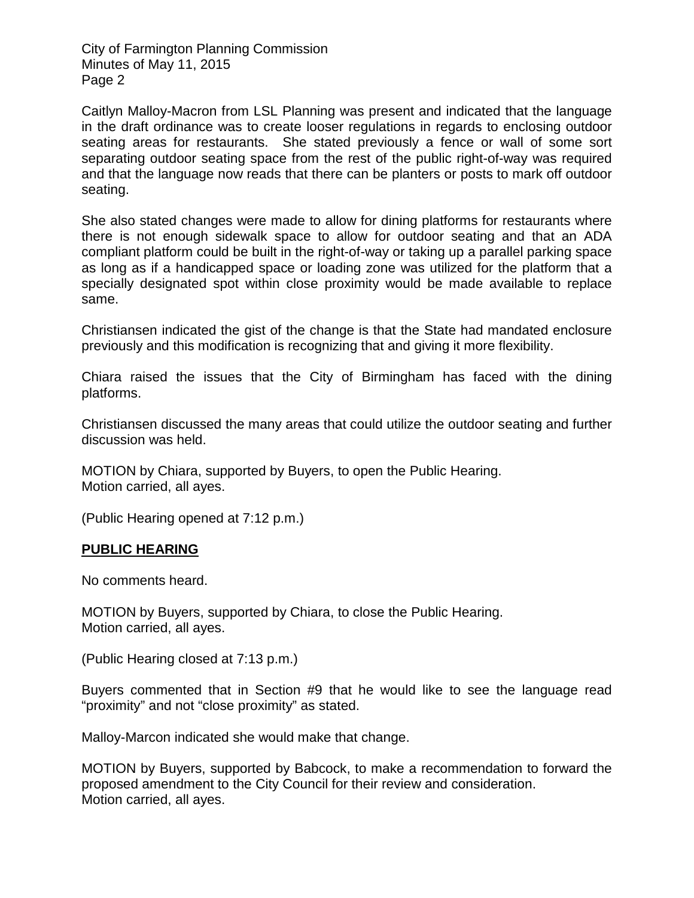City of Farmington Planning Commission Minutes of May 11, 2015 Page 2

Caitlyn Malloy-Macron from LSL Planning was present and indicated that the language in the draft ordinance was to create looser regulations in regards to enclosing outdoor seating areas for restaurants. She stated previously a fence or wall of some sort separating outdoor seating space from the rest of the public right-of-way was required and that the language now reads that there can be planters or posts to mark off outdoor seating.

She also stated changes were made to allow for dining platforms for restaurants where there is not enough sidewalk space to allow for outdoor seating and that an ADA compliant platform could be built in the right-of-way or taking up a parallel parking space as long as if a handicapped space or loading zone was utilized for the platform that a specially designated spot within close proximity would be made available to replace same.

Christiansen indicated the gist of the change is that the State had mandated enclosure previously and this modification is recognizing that and giving it more flexibility.

Chiara raised the issues that the City of Birmingham has faced with the dining platforms.

Christiansen discussed the many areas that could utilize the outdoor seating and further discussion was held.

MOTION by Chiara, supported by Buyers, to open the Public Hearing. Motion carried, all ayes.

(Public Hearing opened at 7:12 p.m.)

### **PUBLIC HEARING**

No comments heard.

MOTION by Buyers, supported by Chiara, to close the Public Hearing. Motion carried, all ayes.

(Public Hearing closed at 7:13 p.m.)

Buyers commented that in Section #9 that he would like to see the language read "proximity" and not "close proximity" as stated.

Malloy-Marcon indicated she would make that change.

MOTION by Buyers, supported by Babcock, to make a recommendation to forward the proposed amendment to the City Council for their review and consideration. Motion carried, all ayes.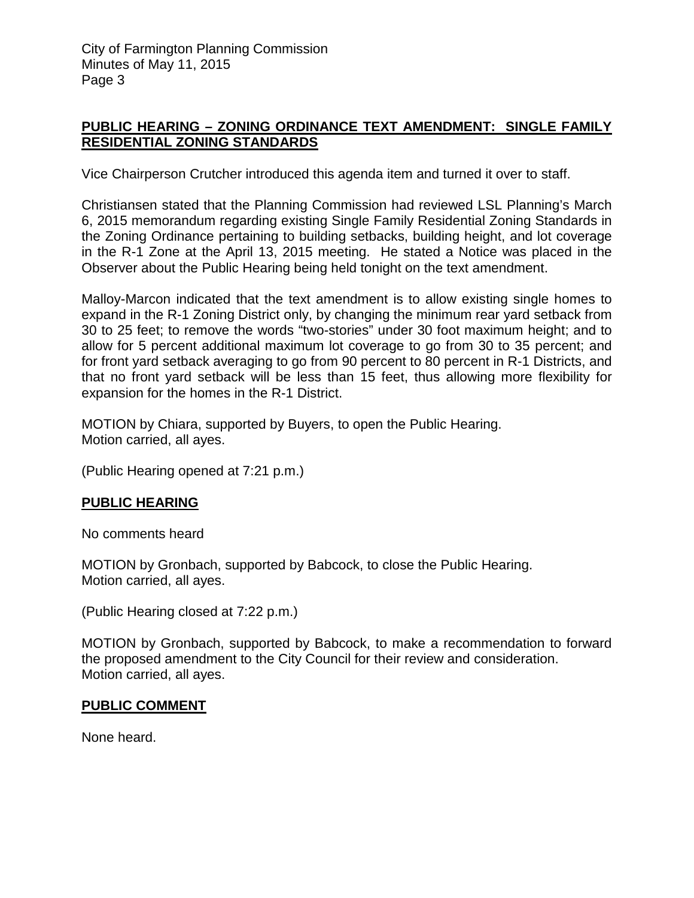City of Farmington Planning Commission Minutes of May 11, 2015 Page 3

### **PUBLIC HEARING – ZONING ORDINANCE TEXT AMENDMENT: SINGLE FAMILY RESIDENTIAL ZONING STANDARDS**

Vice Chairperson Crutcher introduced this agenda item and turned it over to staff.

Christiansen stated that the Planning Commission had reviewed LSL Planning's March 6, 2015 memorandum regarding existing Single Family Residential Zoning Standards in the Zoning Ordinance pertaining to building setbacks, building height, and lot coverage in the R-1 Zone at the April 13, 2015 meeting. He stated a Notice was placed in the Observer about the Public Hearing being held tonight on the text amendment.

Malloy-Marcon indicated that the text amendment is to allow existing single homes to expand in the R-1 Zoning District only, by changing the minimum rear yard setback from 30 to 25 feet; to remove the words "two-stories" under 30 foot maximum height; and to allow for 5 percent additional maximum lot coverage to go from 30 to 35 percent; and for front yard setback averaging to go from 90 percent to 80 percent in R-1 Districts, and that no front yard setback will be less than 15 feet, thus allowing more flexibility for expansion for the homes in the R-1 District.

MOTION by Chiara, supported by Buyers, to open the Public Hearing. Motion carried, all ayes.

(Public Hearing opened at 7:21 p.m.)

# **PUBLIC HEARING**

No comments heard

MOTION by Gronbach, supported by Babcock, to close the Public Hearing. Motion carried, all ayes.

(Public Hearing closed at 7:22 p.m.)

MOTION by Gronbach, supported by Babcock, to make a recommendation to forward the proposed amendment to the City Council for their review and consideration. Motion carried, all ayes.

### **PUBLIC COMMENT**

None heard.